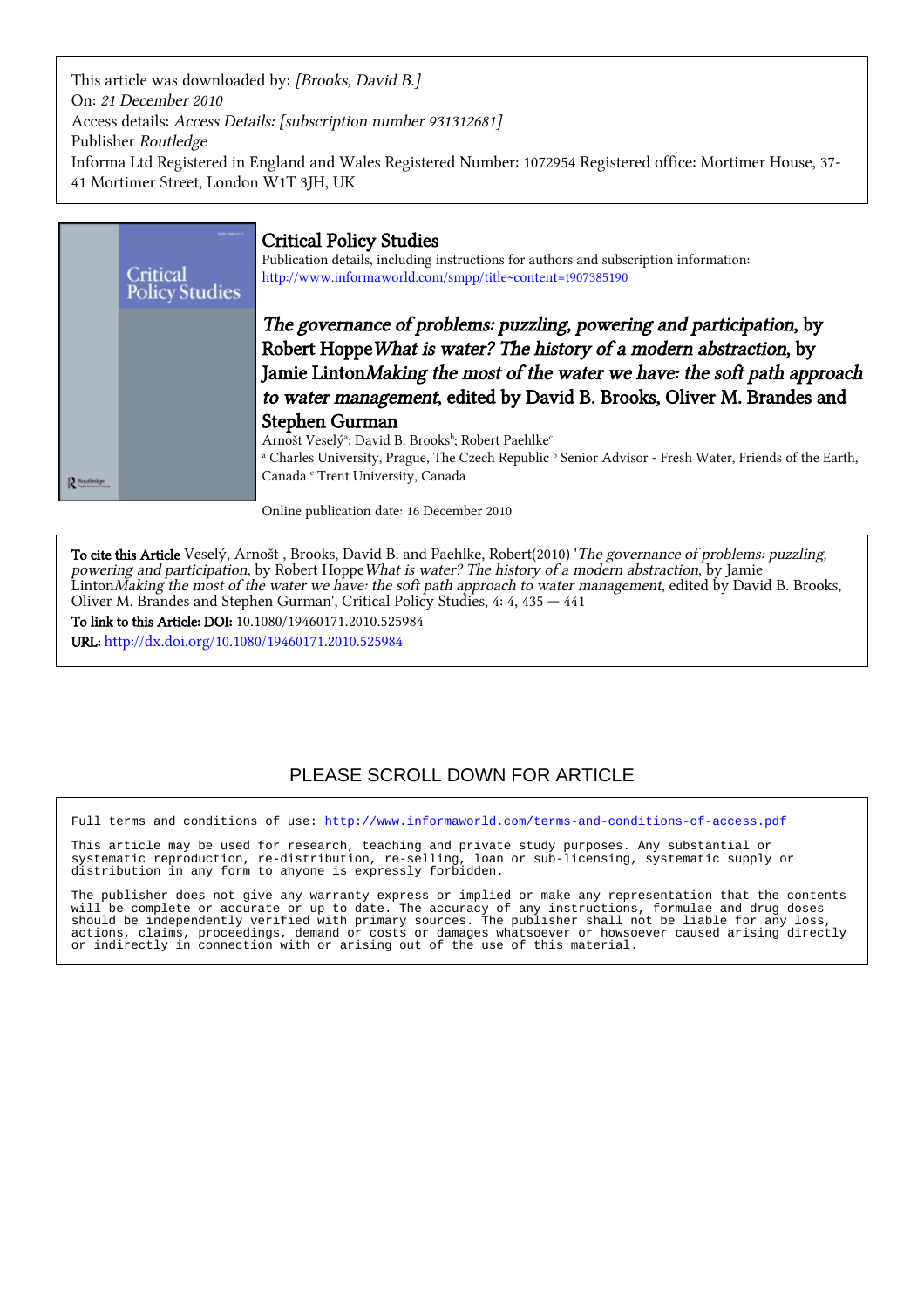This article was downloaded by: [Brooks, David B.] On: 21 December 2010 Access details: Access Details: [subscription number 931312681] Publisher Routledge Informa Ltd Registered in England and Wales Registered Number: 1072954 Registered office: Mortimer House, 37- 41 Mortimer Street, London W1T 3JH, UK



Online publication date: 16 December 2010

To cite this Article Veselý, Arnošt , Brooks, David B. and Paehlke, Robert(2010) 'The governance of problems: puzzling, powering and participation, by Robert Hoppe What is water? The history of a modern abstraction, by Jamie LintonMaking the most of the water we have: the soft path approach to water management, edited by David B. Brooks, Oliver M. Brandes and Stephen Gurman', Critical Policy Studies, 4: 4, 435 — 441

To link to this Article: DOI: 10.1080/19460171.2010.525984 URL: <http://dx.doi.org/10.1080/19460171.2010.525984>

# PLEASE SCROLL DOWN FOR ARTICLE

Full terms and conditions of use:<http://www.informaworld.com/terms-and-conditions-of-access.pdf>

This article may be used for research, teaching and private study purposes. Any substantial or systematic reproduction, re-distribution, re-selling, loan or sub-licensing, systematic supply or distribution in any form to anyone is expressly forbidden.

The publisher does not give any warranty express or implied or make any representation that the contents will be complete or accurate or up to date. The accuracy of any instructions, formulae and drug doses should be independently verified with primary sources. The publisher shall not be liable for any loss, actions, claims, proceedings, demand or costs or damages whatsoever or howsoever caused arising directly or indirectly in connection with or arising out of the use of this material.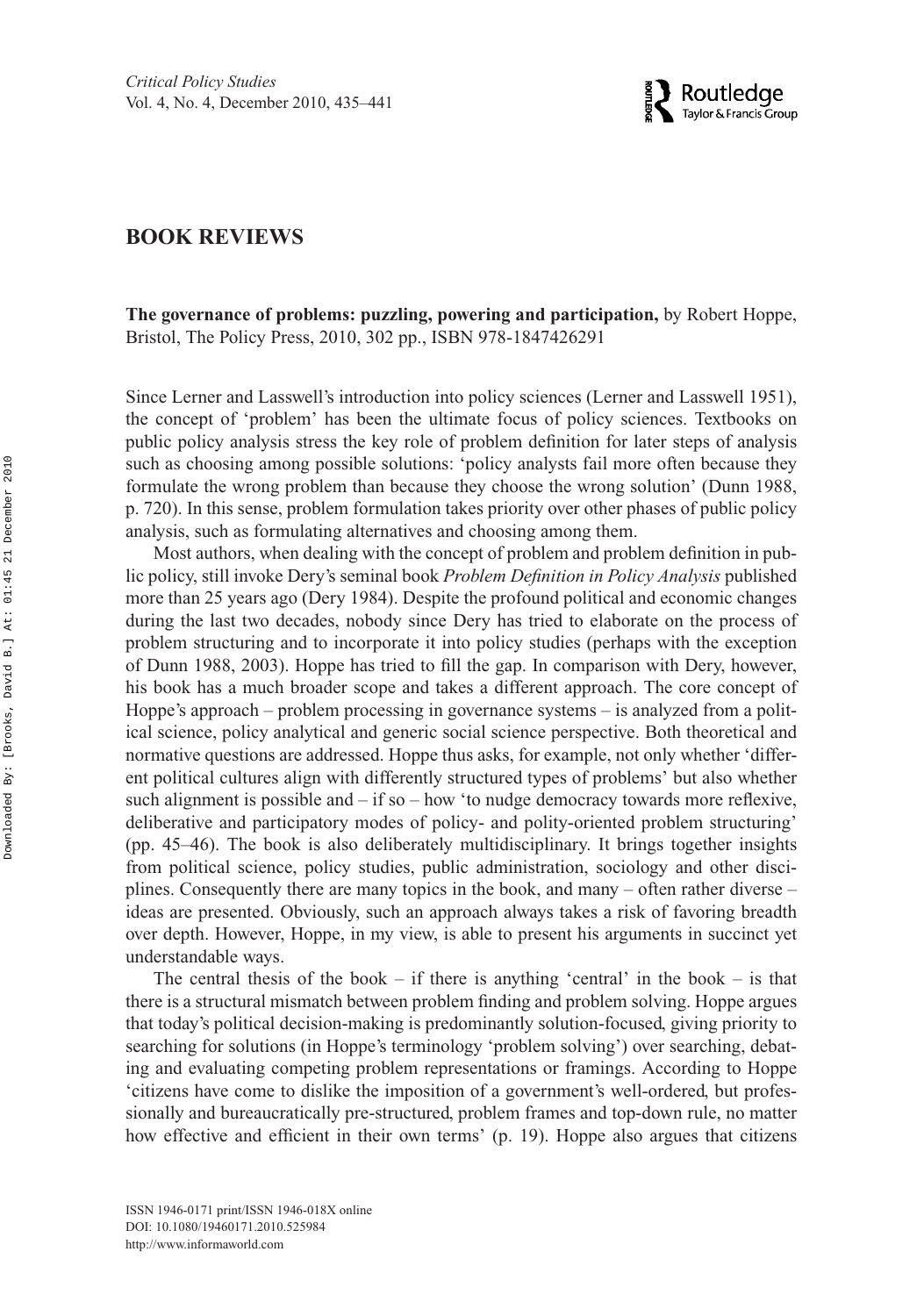

# **BOOK REVIEWS**

**The governance of problems: puzzling, powering and participation,** by Robert Hoppe, Bristol, The Policy Press, 2010, 302 pp., ISBN 978-1847426291

Since Lerner and Lasswell's introduction into policy sciences (Lerner and Lasswell 1951), the concept of 'problem' has been the ultimate focus of policy sciences. Textbooks on public policy analysis stress the key role of problem definition for later steps of analysis such as choosing among possible solutions: 'policy analysts fail more often because they formulate the wrong problem than because they choose the wrong solution' (Dunn 1988, p. 720). In this sense, problem formulation takes priority over other phases of public policy analysis, such as formulating alternatives and choosing among them.

Most authors, when dealing with the concept of problem and problem definition in public policy, still invoke Dery's seminal book *Problem Definition in Policy Analysis* published more than 25 years ago (Dery 1984). Despite the profound political and economic changes during the last two decades, nobody since Dery has tried to elaborate on the process of problem structuring and to incorporate it into policy studies (perhaps with the exception of Dunn 1988, 2003). Hoppe has tried to fill the gap. In comparison with Dery, however, his book has a much broader scope and takes a different approach. The core concept of Hoppe's approach – problem processing in governance systems – is analyzed from a political science, policy analytical and generic social science perspective. Both theoretical and normative questions are addressed. Hoppe thus asks, for example, not only whether 'different political cultures align with differently structured types of problems' but also whether such alignment is possible and  $-$  if so  $-$  how 'to nudge democracy towards more reflexive, deliberative and participatory modes of policy- and polity-oriented problem structuring' (pp. 45–46). The book is also deliberately multidisciplinary. It brings together insights from political science, policy studies, public administration, sociology and other disciplines. Consequently there are many topics in the book, and many – often rather diverse – ideas are presented. Obviously, such an approach always takes a risk of favoring breadth over depth. However, Hoppe, in my view, is able to present his arguments in succinct yet understandable ways.

The central thesis of the book  $-$  if there is anything 'central' in the book  $-$  is that there is a structural mismatch between problem finding and problem solving. Hoppe argues that today's political decision-making is predominantly solution-focused, giving priority to searching for solutions (in Hoppe's terminology 'problem solving') over searching, debating and evaluating competing problem representations or framings. According to Hoppe 'citizens have come to dislike the imposition of a government's well-ordered, but professionally and bureaucratically pre-structured, problem frames and top-down rule, no matter how effective and efficient in their own terms' (p. 19). Hoppe also argues that citizens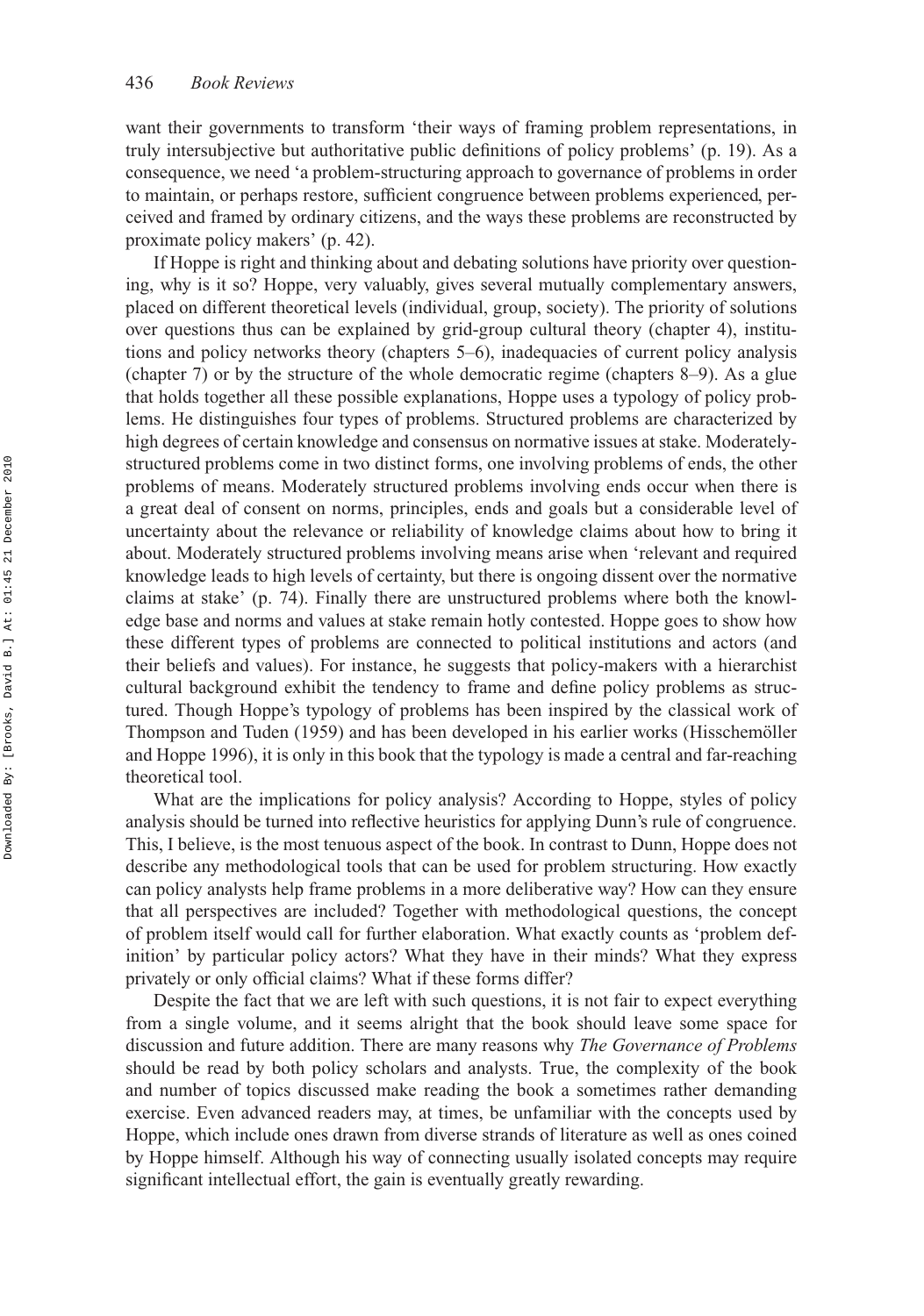want their governments to transform 'their ways of framing problem representations, in truly intersubjective but authoritative public definitions of policy problems' (p. 19). As a consequence, we need 'a problem-structuring approach to governance of problems in order to maintain, or perhaps restore, sufficient congruence between problems experienced, perceived and framed by ordinary citizens, and the ways these problems are reconstructed by proximate policy makers' (p. 42).

If Hoppe is right and thinking about and debating solutions have priority over questioning, why is it so? Hoppe, very valuably, gives several mutually complementary answers, placed on different theoretical levels (individual, group, society). The priority of solutions over questions thus can be explained by grid-group cultural theory (chapter 4), institutions and policy networks theory (chapters 5–6), inadequacies of current policy analysis (chapter 7) or by the structure of the whole democratic regime (chapters 8–9). As a glue that holds together all these possible explanations, Hoppe uses a typology of policy problems. He distinguishes four types of problems. Structured problems are characterized by high degrees of certain knowledge and consensus on normative issues at stake. Moderatelystructured problems come in two distinct forms, one involving problems of ends, the other problems of means. Moderately structured problems involving ends occur when there is a great deal of consent on norms, principles, ends and goals but a considerable level of uncertainty about the relevance or reliability of knowledge claims about how to bring it about. Moderately structured problems involving means arise when 'relevant and required knowledge leads to high levels of certainty, but there is ongoing dissent over the normative claims at stake' (p. 74). Finally there are unstructured problems where both the knowledge base and norms and values at stake remain hotly contested. Hoppe goes to show how these different types of problems are connected to political institutions and actors (and their beliefs and values). For instance, he suggests that policy-makers with a hierarchist cultural background exhibit the tendency to frame and define policy problems as structured. Though Hoppe's typology of problems has been inspired by the classical work of Thompson and Tuden (1959) and has been developed in his earlier works (Hisschemöller and Hoppe 1996), it is only in this book that the typology is made a central and far-reaching theoretical tool.

What are the implications for policy analysis? According to Hoppe, styles of policy analysis should be turned into reflective heuristics for applying Dunn's rule of congruence. This, I believe, is the most tenuous aspect of the book. In contrast to Dunn, Hoppe does not describe any methodological tools that can be used for problem structuring. How exactly can policy analysts help frame problems in a more deliberative way? How can they ensure that all perspectives are included? Together with methodological questions, the concept of problem itself would call for further elaboration. What exactly counts as 'problem definition' by particular policy actors? What they have in their minds? What they express privately or only official claims? What if these forms differ?

Despite the fact that we are left with such questions, it is not fair to expect everything from a single volume, and it seems alright that the book should leave some space for discussion and future addition. There are many reasons why *The Governance of Problems* should be read by both policy scholars and analysts. True, the complexity of the book and number of topics discussed make reading the book a sometimes rather demanding exercise. Even advanced readers may, at times, be unfamiliar with the concepts used by Hoppe, which include ones drawn from diverse strands of literature as well as ones coined by Hoppe himself. Although his way of connecting usually isolated concepts may require significant intellectual effort, the gain is eventually greatly rewarding.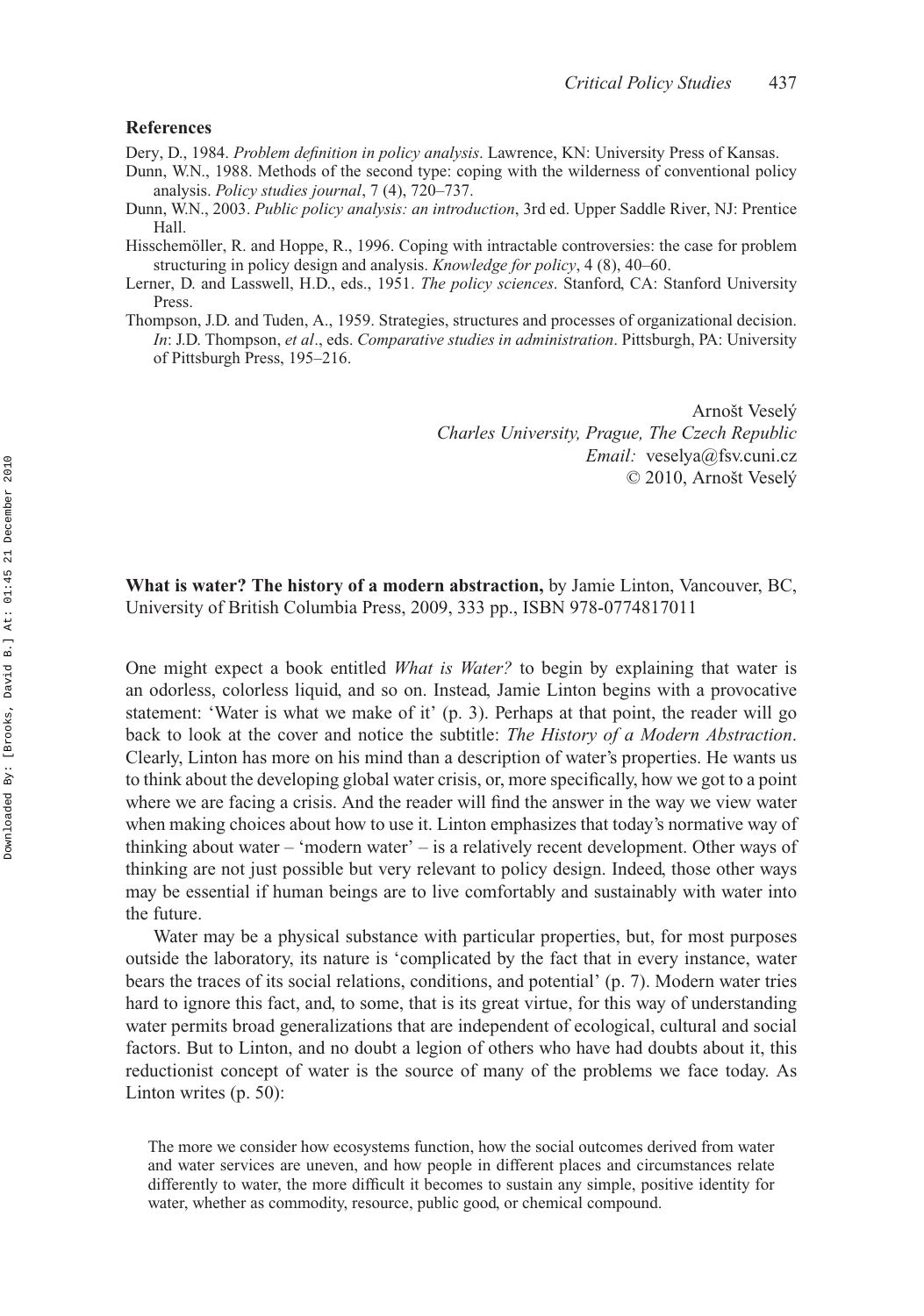## **References**

Dery, D., 1984. *Problem definition in policy analysis*. Lawrence, KN: University Press of Kansas.

- Dunn, W.N., 1988. Methods of the second type: coping with the wilderness of conventional policy analysis. *Policy studies journal*, 7 (4), 720–737.
- Dunn, W.N., 2003. *Public policy analysis: an introduction*, 3rd ed. Upper Saddle River, NJ: Prentice Hall.
- Hisschemöller, R. and Hoppe, R., 1996. Coping with intractable controversies: the case for problem structuring in policy design and analysis. *Knowledge for policy*, 4 (8), 40–60.
- Lerner, D. and Lasswell, H.D., eds., 1951. *The policy sciences*. Stanford, CA: Stanford University Press.
- Thompson, J.D. and Tuden, A., 1959. Strategies, structures and processes of organizational decision. *In*: J.D. Thompson, *et al*., eds. *Comparative studies in administration*. Pittsburgh, PA: University of Pittsburgh Press, 195–216.

Arnošt Veselý *Charles University, Prague, The Czech Republic Email:* [veselya@fsv.cuni.cz](mailto:veselya@fsv.cuni.cz) © 2010, Arnošt Veselý

**What is water? The history of a modern abstraction,** by Jamie Linton, Vancouver, BC, University of British Columbia Press, 2009, 333 pp., ISBN 978-0774817011

One might expect a book entitled *What is Water?* to begin by explaining that water is an odorless, colorless liquid, and so on. Instead, Jamie Linton begins with a provocative statement: 'Water is what we make of it' (p. 3). Perhaps at that point, the reader will go back to look at the cover and notice the subtitle: *The History of a Modern Abstraction*. Clearly, Linton has more on his mind than a description of water's properties. He wants us to think about the developing global water crisis, or, more specifically, how we got to a point where we are facing a crisis. And the reader will find the answer in the way we view water when making choices about how to use it. Linton emphasizes that today's normative way of thinking about water – 'modern water' – is a relatively recent development. Other ways of thinking are not just possible but very relevant to policy design. Indeed, those other ways may be essential if human beings are to live comfortably and sustainably with water into the future.

Water may be a physical substance with particular properties, but, for most purposes outside the laboratory, its nature is 'complicated by the fact that in every instance, water bears the traces of its social relations, conditions, and potential' (p. 7). Modern water tries hard to ignore this fact, and, to some, that is its great virtue, for this way of understanding water permits broad generalizations that are independent of ecological, cultural and social factors. But to Linton, and no doubt a legion of others who have had doubts about it, this reductionist concept of water is the source of many of the problems we face today. As Linton writes (p. 50):

The more we consider how ecosystems function, how the social outcomes derived from water and water services are uneven, and how people in different places and circumstances relate differently to water, the more difficult it becomes to sustain any simple, positive identity for water, whether as commodity, resource, public good, or chemical compound.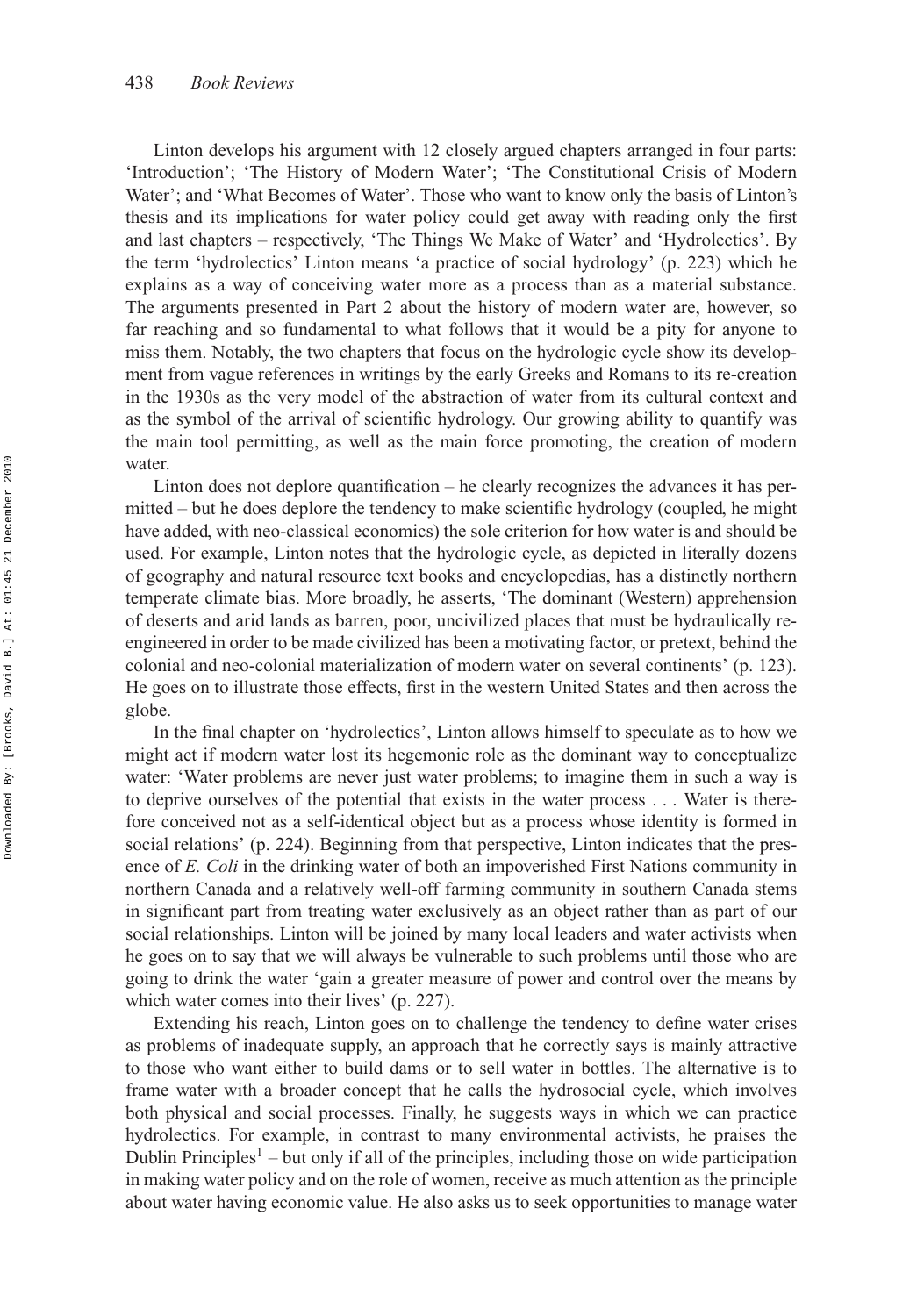Linton develops his argument with 12 closely argued chapters arranged in four parts: 'Introduction'; 'The History of Modern Water'; 'The Constitutional Crisis of Modern Water'; and 'What Becomes of Water'. Those who want to know only the basis of Linton's thesis and its implications for water policy could get away with reading only the first and last chapters – respectively, 'The Things We Make of Water' and 'Hydrolectics'. By the term 'hydrolectics' Linton means 'a practice of social hydrology' (p. 223) which he explains as a way of conceiving water more as a process than as a material substance. The arguments presented in Part 2 about the history of modern water are, however, so far reaching and so fundamental to what follows that it would be a pity for anyone to miss them. Notably, the two chapters that focus on the hydrologic cycle show its development from vague references in writings by the early Greeks and Romans to its re-creation in the 1930s as the very model of the abstraction of water from its cultural context and as the symbol of the arrival of scientific hydrology. Our growing ability to quantify was the main tool permitting, as well as the main force promoting, the creation of modern water.

Linton does not deplore quantification – he clearly recognizes the advances it has permitted – but he does deplore the tendency to make scientific hydrology (coupled, he might have added, with neo-classical economics) the sole criterion for how water is and should be used. For example, Linton notes that the hydrologic cycle, as depicted in literally dozens of geography and natural resource text books and encyclopedias, has a distinctly northern temperate climate bias. More broadly, he asserts, 'The dominant (Western) apprehension of deserts and arid lands as barren, poor, uncivilized places that must be hydraulically reengineered in order to be made civilized has been a motivating factor, or pretext, behind the colonial and neo-colonial materialization of modern water on several continents' (p. 123). He goes on to illustrate those effects, first in the western United States and then across the globe.

In the final chapter on 'hydrolectics', Linton allows himself to speculate as to how we might act if modern water lost its hegemonic role as the dominant way to conceptualize water: 'Water problems are never just water problems; to imagine them in such a way is to deprive ourselves of the potential that exists in the water process *...* Water is therefore conceived not as a self-identical object but as a process whose identity is formed in social relations' (p. 224). Beginning from that perspective, Linton indicates that the presence of *E. Coli* in the drinking water of both an impoverished First Nations community in northern Canada and a relatively well-off farming community in southern Canada stems in significant part from treating water exclusively as an object rather than as part of our social relationships. Linton will be joined by many local leaders and water activists when he goes on to say that we will always be vulnerable to such problems until those who are going to drink the water 'gain a greater measure of power and control over the means by which water comes into their lives' (p. 227).

Extending his reach, Linton goes on to challenge the tendency to define water crises as problems of inadequate supply, an approach that he correctly says is mainly attractive to those who want either to build dams or to sell water in bottles. The alternative is to frame water with a broader concept that he calls the hydrosocial cycle, which involves both physical and social processes. Finally, he suggests ways in which we can practice hydrolectics. For example, in contrast to many environmental activists, he praises the Dublin Principles<sup>1</sup> – but only if all of the principles, including those on wide participation in making water policy and on the role of women, receive as much attention as the principle about water having economic value. He also asks us to seek opportunities to manage water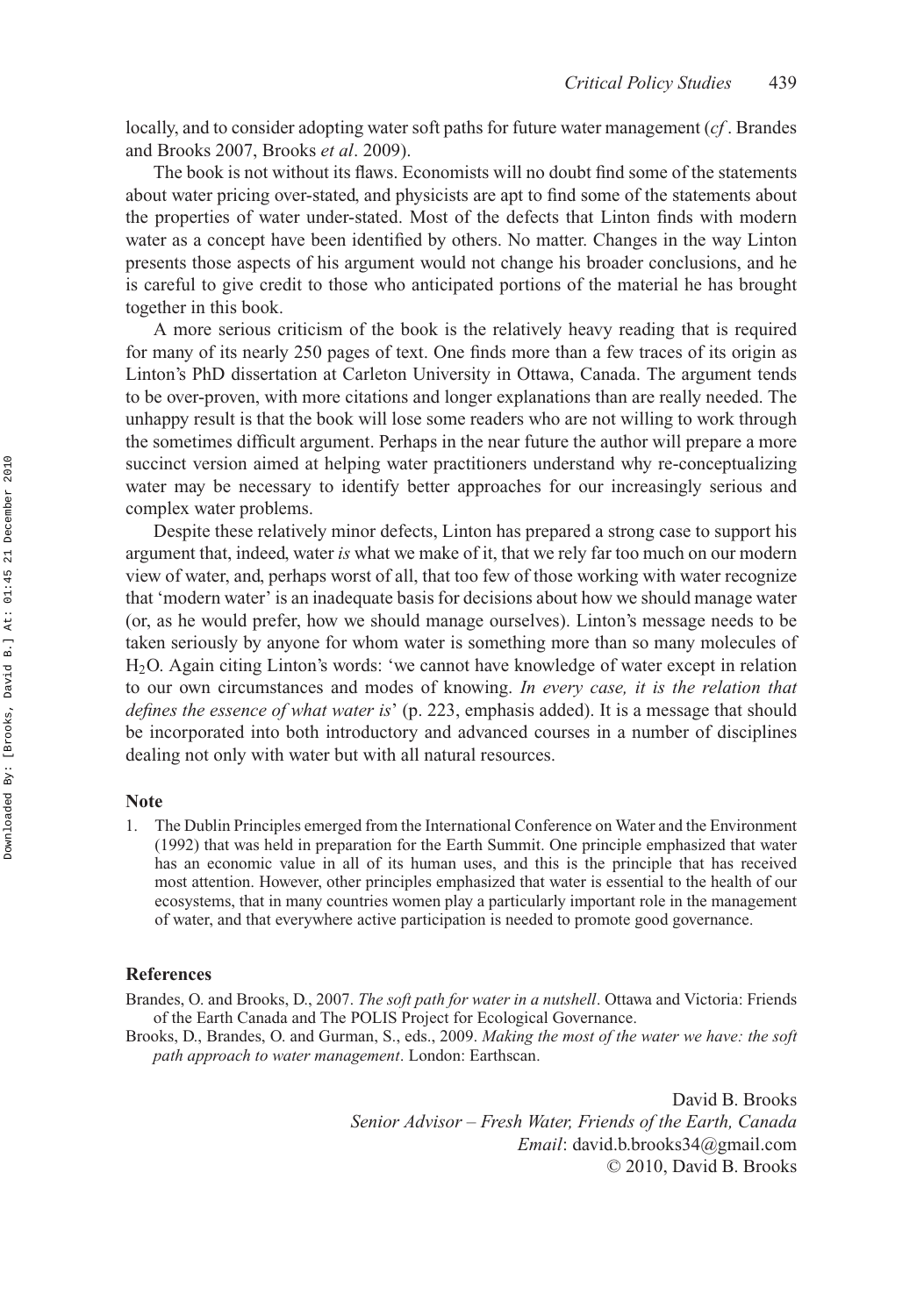locally, and to consider adopting water soft paths for future water management (*cf* . Brandes and Brooks 2007, Brooks *et al*. 2009).

The book is not without its flaws. Economists will no doubt find some of the statements about water pricing over-stated, and physicists are apt to find some of the statements about the properties of water under-stated. Most of the defects that Linton finds with modern water as a concept have been identified by others. No matter. Changes in the way Linton presents those aspects of his argument would not change his broader conclusions, and he is careful to give credit to those who anticipated portions of the material he has brought together in this book.

A more serious criticism of the book is the relatively heavy reading that is required for many of its nearly 250 pages of text. One finds more than a few traces of its origin as Linton's PhD dissertation at Carleton University in Ottawa, Canada. The argument tends to be over-proven, with more citations and longer explanations than are really needed. The unhappy result is that the book will lose some readers who are not willing to work through the sometimes difficult argument. Perhaps in the near future the author will prepare a more succinct version aimed at helping water practitioners understand why re-conceptualizing water may be necessary to identify better approaches for our increasingly serious and complex water problems.

Despite these relatively minor defects, Linton has prepared a strong case to support his argument that, indeed, water *is* what we make of it, that we rely far too much on our modern view of water, and, perhaps worst of all, that too few of those working with water recognize that 'modern water' is an inadequate basis for decisions about how we should manage water (or, as he would prefer, how we should manage ourselves). Linton's message needs to be taken seriously by anyone for whom water is something more than so many molecules of H2O. Again citing Linton's words: 'we cannot have knowledge of water except in relation to our own circumstances and modes of knowing. *In every case, it is the relation that defines the essence of what water is*' (p. 223, emphasis added). It is a message that should be incorporated into both introductory and advanced courses in a number of disciplines dealing not only with water but with all natural resources.

#### **Note**

1. The Dublin Principles emerged from the International Conference on Water and the Environment (1992) that was held in preparation for the Earth Summit. One principle emphasized that water has an economic value in all of its human uses, and this is the principle that has received most attention. However, other principles emphasized that water is essential to the health of our ecosystems, that in many countries women play a particularly important role in the management of water, and that everywhere active participation is needed to promote good governance.

### **References**

Brandes, O. and Brooks, D., 2007. *The soft path for water in a nutshell*. Ottawa and Victoria: Friends of the Earth Canada and The POLIS Project for Ecological Governance.

Brooks, D., Brandes, O. and Gurman, S., eds., 2009. *Making the most of the water we have: the soft path approach to water management*. London: Earthscan.

> David B. Brooks *Senior Advisor – Fresh Water, Friends of the Earth, Canada Email*: david.b[.brooks34@gmail.com](mailto:brooks34@gmail.com) © 2010, David B. Brooks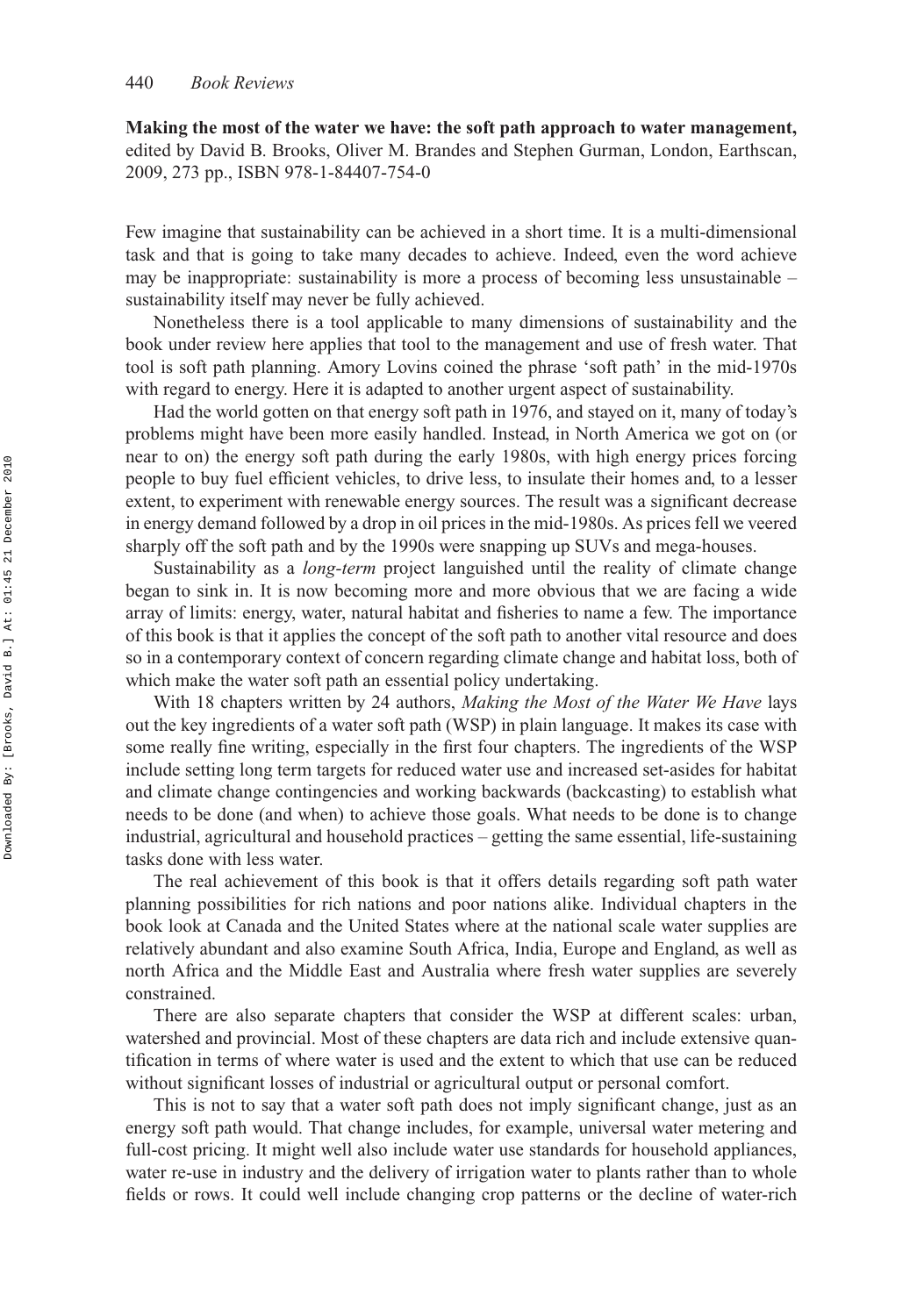**Making the most of the water we have: the soft path approach to water management,** edited by David B. Brooks, Oliver M. Brandes and Stephen Gurman, London, Earthscan, 2009, 273 pp., ISBN 978-1-84407-754-0

Few imagine that sustainability can be achieved in a short time. It is a multi-dimensional task and that is going to take many decades to achieve. Indeed, even the word achieve may be inappropriate: sustainability is more a process of becoming less unsustainable – sustainability itself may never be fully achieved.

Nonetheless there is a tool applicable to many dimensions of sustainability and the book under review here applies that tool to the management and use of fresh water. That tool is soft path planning. Amory Lovins coined the phrase 'soft path' in the mid-1970s with regard to energy. Here it is adapted to another urgent aspect of sustainability.

Had the world gotten on that energy soft path in 1976, and stayed on it, many of today's problems might have been more easily handled. Instead, in North America we got on (or near to on) the energy soft path during the early 1980s, with high energy prices forcing people to buy fuel efficient vehicles, to drive less, to insulate their homes and, to a lesser extent, to experiment with renewable energy sources. The result was a significant decrease in energy demand followed by a drop in oil prices in the mid-1980s. As prices fell we veered sharply off the soft path and by the 1990s were snapping up SUVs and mega-houses.

Sustainability as a *long-term* project languished until the reality of climate change began to sink in. It is now becoming more and more obvious that we are facing a wide array of limits: energy, water, natural habitat and fisheries to name a few. The importance of this book is that it applies the concept of the soft path to another vital resource and does so in a contemporary context of concern regarding climate change and habitat loss, both of which make the water soft path an essential policy undertaking.

With 18 chapters written by 24 authors, *Making the Most of the Water We Have* lays out the key ingredients of a water soft path (WSP) in plain language. It makes its case with some really fine writing, especially in the first four chapters. The ingredients of the WSP include setting long term targets for reduced water use and increased set-asides for habitat and climate change contingencies and working backwards (backcasting) to establish what needs to be done (and when) to achieve those goals. What needs to be done is to change industrial, agricultural and household practices – getting the same essential, life-sustaining tasks done with less water.

The real achievement of this book is that it offers details regarding soft path water planning possibilities for rich nations and poor nations alike. Individual chapters in the book look at Canada and the United States where at the national scale water supplies are relatively abundant and also examine South Africa, India, Europe and England, as well as north Africa and the Middle East and Australia where fresh water supplies are severely constrained.

There are also separate chapters that consider the WSP at different scales: urban, watershed and provincial. Most of these chapters are data rich and include extensive quantification in terms of where water is used and the extent to which that use can be reduced without significant losses of industrial or agricultural output or personal comfort.

This is not to say that a water soft path does not imply significant change, just as an energy soft path would. That change includes, for example, universal water metering and full-cost pricing. It might well also include water use standards for household appliances, water re-use in industry and the delivery of irrigation water to plants rather than to whole fields or rows. It could well include changing crop patterns or the decline of water-rich